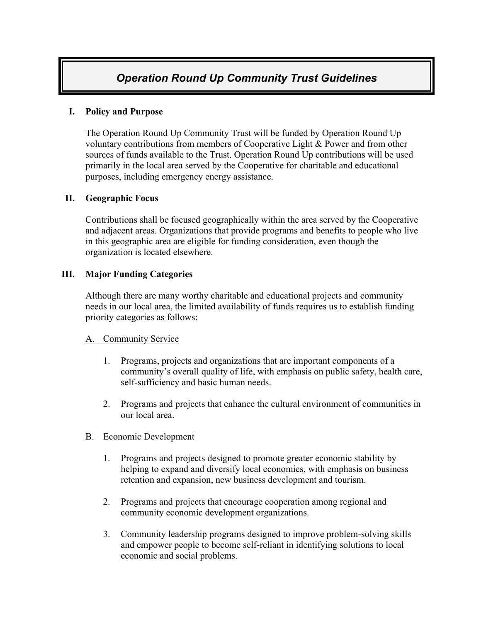# *Operation Round Up Community Trust Guidelines*

# **I. Policy and Purpose**

The Operation Round Up Community Trust will be funded by Operation Round Up voluntary contributions from members of Cooperative Light & Power and from other sources of funds available to the Trust. Operation Round Up contributions will be used primarily in the local area served by the Cooperative for charitable and educational purposes, including emergency energy assistance.

# **II. Geographic Focus**

Contributions shall be focused geographically within the area served by the Cooperative and adjacent areas. Organizations that provide programs and benefits to people who live in this geographic area are eligible for funding consideration, even though the organization is located elsewhere.

# **III. Major Funding Categories**

Although there are many worthy charitable and educational projects and community needs in our local area, the limited availability of funds requires us to establish funding priority categories as follows:

#### A. Community Service

- 1. Programs, projects and organizations that are important components of a community's overall quality of life, with emphasis on public safety, health care, self-sufficiency and basic human needs.
- 2. Programs and projects that enhance the cultural environment of communities in our local area.

# B. Economic Development

- 1. Programs and projects designed to promote greater economic stability by helping to expand and diversify local economies, with emphasis on business retention and expansion, new business development and tourism.
- 2. Programs and projects that encourage cooperation among regional and community economic development organizations.
- 3. Community leadership programs designed to improve problem-solving skills and empower people to become self-reliant in identifying solutions to local economic and social problems.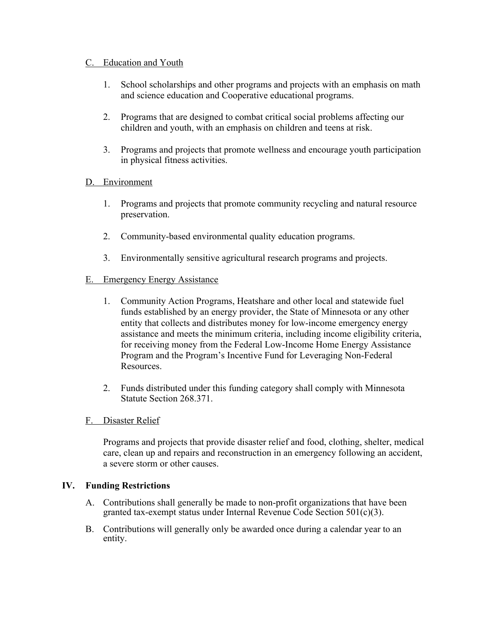# C. Education and Youth

- 1. School scholarships and other programs and projects with an emphasis on math and science education and Cooperative educational programs.
- 2. Programs that are designed to combat critical social problems affecting our children and youth, with an emphasis on children and teens at risk.
- 3. Programs and projects that promote wellness and encourage youth participation in physical fitness activities.

# D. Environment

- 1. Programs and projects that promote community recycling and natural resource preservation.
- 2. Community-based environmental quality education programs.
- 3. Environmentally sensitive agricultural research programs and projects.

#### E. Emergency Energy Assistance

- 1. Community Action Programs, Heatshare and other local and statewide fuel funds established by an energy provider, the State of Minnesota or any other entity that collects and distributes money for low-income emergency energy assistance and meets the minimum criteria, including income eligibility criteria, for receiving money from the Federal Low-Income Home Energy Assistance Program and the Program's Incentive Fund for Leveraging Non-Federal Resources.
- 2. Funds distributed under this funding category shall comply with Minnesota Statute Section 268.371.

#### F. Disaster Relief

Programs and projects that provide disaster relief and food, clothing, shelter, medical care, clean up and repairs and reconstruction in an emergency following an accident, a severe storm or other causes.

#### **IV. Funding Restrictions**

- A. Contributions shall generally be made to non-profit organizations that have been granted tax-exempt status under Internal Revenue Code Section 501(c)(3).
- B. Contributions will generally only be awarded once during a calendar year to an entity.